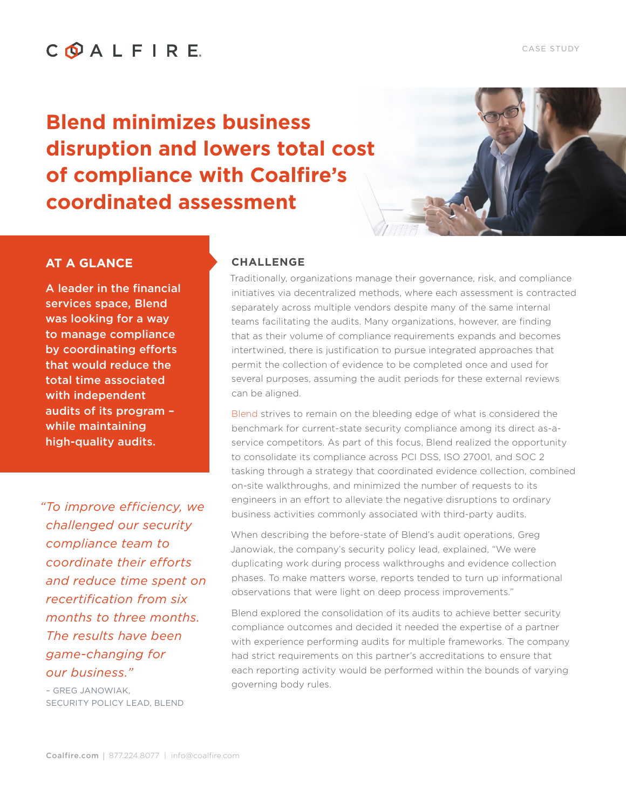#### CASE STUDY

# COALFIRE.

**Blend minimizes business disruption and lowers total cost of compliance with Coalfire's coordinated assessment**

## **CHALLENGE**

Traditionally, organizations manage their governance, risk, and compliance initiatives via decentralized methods, where each assessment is contracted separately across multiple vendors despite many of the same internal teams facilitating the audits. Many organizations, however, are finding that as their volume of compliance requirements expands and becomes intertwined, there is justification to pursue integrated approaches that permit the collection of evidence to be completed once and used for several purposes, assuming the audit periods for these external reviews can be aligned.

[Blend](https://blend.com/) strives to remain on the bleeding edge of what is considered the benchmark for current-state security compliance among its direct as-aservice competitors. As part of this focus, Blend realized the opportunity to consolidate its compliance across PCI DSS, ISO 27001, and SOC 2 tasking through a strategy that coordinated evidence collection, combined on-site walkthroughs, and minimized the number of requests to its engineers in an effort to alleviate the negative disruptions to ordinary business activities commonly associated with third-party audits.

When describing the before-state of Blend's audit operations, Greg Janowiak, the company's security policy lead, explained, "We were duplicating work during process walkthroughs and evidence collection phases. To make matters worse, reports tended to turn up informational observations that were light on deep process improvements."

Blend explored the consolidation of its audits to achieve better security compliance outcomes and decided it needed the expertise of a partner with experience performing audits for multiple frameworks. The company had strict requirements on this partner's accreditations to ensure that each reporting activity would be performed within the bounds of varying governing body rules.

## **AT A GLANCE**

A leader in the financial services space, Blend was looking for a way to manage compliance by coordinating efforts that would reduce the total time associated with independent audits of its program – while maintaining high-quality audits.

 *"To improve efficiency, we challenged our security compliance team to coordinate their efforts and reduce time spent on recertification from six months to three months. The results have been game-changing for our business."* 

– GREG JANOWIAK, SECURITY POLICY LEAD, BLEND